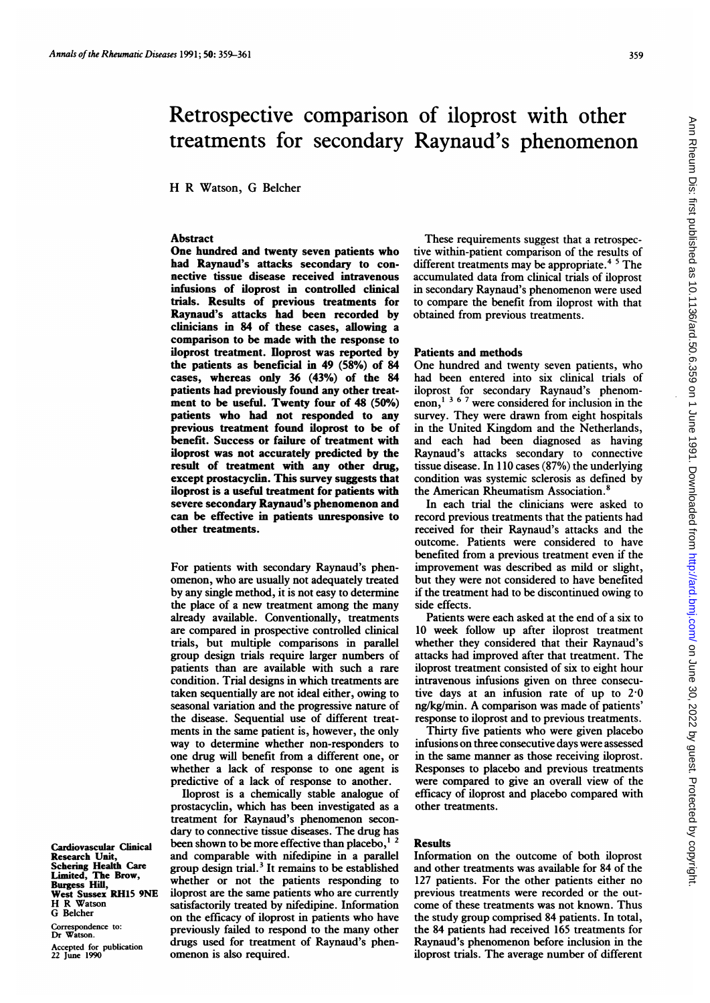# Retrospective comparison of iloprost with other treatments for secondary Raynaud's phenomenon

H R Watson, G Belcher

## Abstract

One hundred and twenty seven patients who had Raynaud's attacks secondary to connective tissue disease received intravenous infusions of iloprost in controlled clinical trials. Results of previous treatments for Raynaud's attacks had been recorded by clinicians in 84 of these cases, allowing a comparison to be made with the response to iloprost treatment. Iloprost was reported by the patients as beneficial in 49 (58%) of 84 cases, whereas only 36 (43%) of the 84 patients had previously found any other treatment to be useful. Twenty four of 48 (50%) patients who had not responded to any previous treatment found iloprost to be of benefit. Success or failure of treatment with iloprost was not accurately predicted by the result of treatment with any other drug, except prostacyclin. This survey suggests that iloprost is a useful treatment for patients with severe secondary Raynaud's phenomenon and can be effective in patients unresponsive to other treatments.

For patients with secondary Raynaud's phenomenon, who are usually not adequately treated by any single method, it is not easy to determine the place of a new treatment among the many already available. Conventionally, treatments are compared in prospective controlled clinical trials, but multiple comparisons in parallel group design trials require larger numbers of patients than are available with such a rare condition. Trial designs in which treatments are taken sequentially are not ideal either, owing to seasonal variation and the progressive nature of the disease. Sequential use of different treatments in the same patient is, however, the only way to determine whether non-responders to one drug will benefit from a different one, or whether a lack of response to one agent is predictive of a lack of response to another.

Iloprost is a chemically stable analogue of prostacyclin, which has been investigated as a treatment for Raynaud's phenomenon secondary to connective tissue diseases. The drug has been shown to be more effective than placebo, $<sup>1</sup>$ </sup> and comparable with nifedipine in a parallel group design trial.<sup>3</sup> It remains to be established whether or not the patients responding to iloprost are the same patients who are currently satisfactorily treated by nifedipine. Information on the efficacy of iloprost in patients who have previously failed to respond to the many other drugs used for treatment of Raynaud's phenomenon is also required.

These requirements suggest that a retrospective within-patient comparison of the results of different treatments may be appropriate.<sup>45</sup> The accumulated data from clinical trials of iloprost in secondary Raynaud's phenomenon were used to compare the benefit from iloprost with that obtained from previous treatments.

#### Patients and methods

One hundred and twenty seven patients, who had been entered into six clinical trials of iloprost for secondary Raynaud's phenomenon,<sup>1367</sup> were considered for inclusion in the survey. They were drawn from eight hospitals in the United Kingdom and the Netherlands, and each had been diagnosed as having Raynaud's attacks secondary to connective tissue disease. In 110 cases (87%) the underlying condition was systemic sclerosis as defined by the American Rheumatism Association.<sup>8</sup>

In each trial the clinicians were asked to record previous treatments that the patients had received for their Raynaud's attacks and the outcome. Patients were considered to have benefited from a previous treatment even if the improvement was described as mild or slight, but they were not considered to have benefited if the treatment had to be discontinued owing to side effects.

Patients were each asked at the end of a six to 10 week follow up after iloprost treatment whether they considered that their Raynaud's attacks had improved after that treatment. The iloprost treatment consisted of six to eight hour intravenous infusions given on three consecutive days at an infusion rate of up to 2-0 ng/kg/min. A comparison was made of patients' response to iloprost and to previous treatments.

Thirty five patients who were given placebo infusions on three consecutive days were assessed in the same manner as those receiving iloprost. Responses to placebo and previous treatments were compared to give an overall view of the efficacy of iloprost and placebo compared with other treatments.

## Results

Information on the outcome of both iloprost and other treatments was available for 84 of the 127 patients. For the other patients either no previous treatments were recorded or the outcome of these treatments was not known. Thus the study group comprised 84 patients. In total, the 84 patients had received 165 treatments for Raynaud's phenomenon before inclusion in the iloprost trials. The average number of different

Cardiovascular Clinical Research Unit,<br>Schering Health Care<br>Limited, The Brow,<br>Burgess Hill,<br>West Sussex RH15 9NE<br>H R Watson G Belcher

Correspondence to: Dr Watson. Accepted for publication 22 June 1990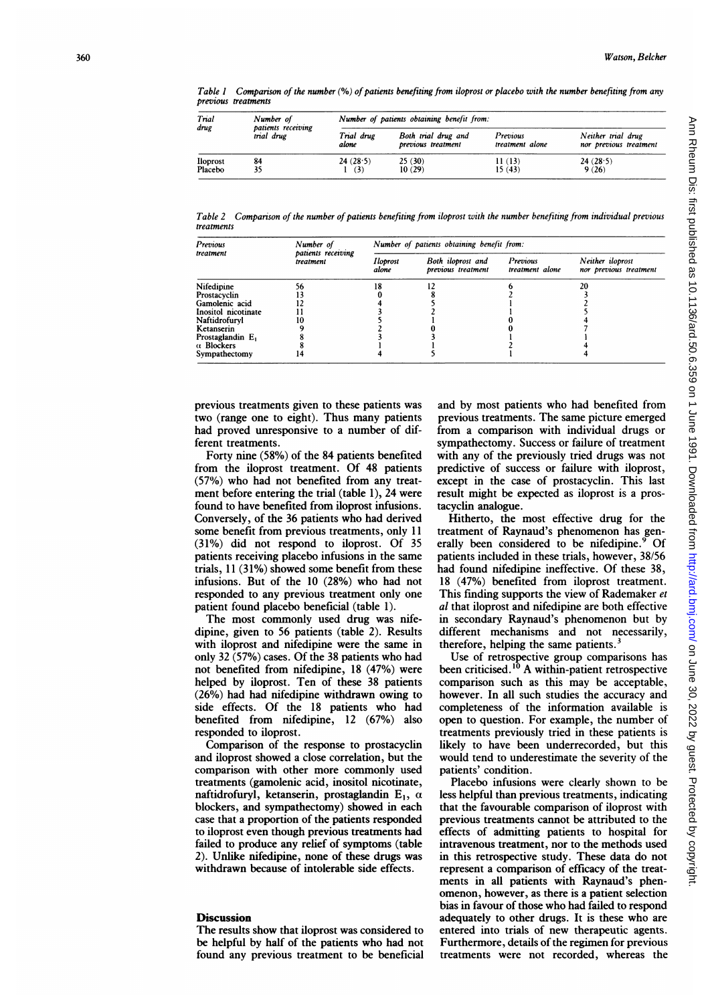Table I Comparison of the number (%) of patients benefiting from iloprost or placebo with the number benefiting from any previous treatments

| Trial<br>drug       | Number of<br>patients receiving<br>trial drug | Number of patients obtaining benefit from: |                                           |                             |                                              |  |
|---------------------|-----------------------------------------------|--------------------------------------------|-------------------------------------------|-----------------------------|----------------------------------------------|--|
|                     |                                               | Trial drug<br>alone                        | Both trial drug and<br>previous treatment | Previous<br>treatment alone | Neither trial drug<br>nor previous treatment |  |
| Iloprost<br>Placebo | 84                                            | 24(28.5)<br>(3)                            | 25(30)<br>10(29)                          | 11(13)<br>15(43)            | 24(28.5)<br>9(26)                            |  |

Table 2 – Comparison of the number of patients benefiting from iloprost with the number benefiting from individual previous treatments

| Previous                     | Number of                       | Number of patients obtaining benefit from: |                                         |                             |                                            |  |
|------------------------------|---------------------------------|--------------------------------------------|-----------------------------------------|-----------------------------|--------------------------------------------|--|
| treatment                    | patients receiving<br>treatment | Iloprost<br>alone                          | Both iloprost and<br>previous treatment | Previous<br>treatment alone | Neither iloprost<br>nor previous treatment |  |
| Nifedipine                   | 56                              |                                            |                                         |                             | 20                                         |  |
| Prostacyclin                 |                                 |                                            |                                         |                             |                                            |  |
| Gamolenic acid               |                                 |                                            |                                         |                             |                                            |  |
| Inositol nicotinate          |                                 |                                            |                                         |                             |                                            |  |
| Naftidrofurvl                |                                 |                                            |                                         |                             |                                            |  |
| Ketanserin                   |                                 |                                            |                                         |                             |                                            |  |
| Prostaglandin E <sub>1</sub> |                                 |                                            |                                         |                             |                                            |  |
| α <b>Blockers</b>            |                                 |                                            |                                         |                             |                                            |  |
| Sympathectomy                | 14                              |                                            |                                         |                             |                                            |  |

previous treatments given to these patients was two (range one to eight). Thus many patients had proved unresponsive to a number of different treatments.

Forty nine (58%) of the 84 patients benefited from the iloprost treatment. Of 48 patients (57%) who had not benefited from any treatment before entering the trial (table 1), 24 were found to have benefited from iloprost infusions. Conversely, of the 36 patients who had derived some benefit from previous treatments, only 11 (31%) did not respond to iloprost. Of 35 patients receiving placebo infusions in the same trials, 11 (31%) showed some benefit from these infusions. But of the 10 (28%) who had not responded to any previous treatment only one patient found placebo beneficial (table 1).

The most commonly used drug was nifedipine, given to 56 patients (table 2). Results with iloprost and nifedipine were the same in only 32 (57%) cases. Of the 38 patients who had not benefited from nifedipine, 18 (47%) were helped by iloprost. Ten of these 38 patients (26%) had had nifedipine withdrawn owing to side effects. Of the 18 patients who had benefited from nifedipine, 12 (67%) also responded to iloprost.

Comparison of the response to prostacyclin and iloprost showed a close correlation, but the comparison with other more commonly used treatments (gamolenic acid, inositol nicotinate, naftidrofuryl, ketanserin, prostaglandin  $E_1$ ,  $\alpha$ blockers, and sympathectomy) showed in each case that a proportion of the patients responded to iloprost even though previous treatments had failed to produce any relief of symptoms (table 2). Unlike nifedipine, none of these drugs was withdrawn because of intolerable side effects.

### **Discussion**

The results show that iloprost was considered to be helpful by half of the patients who had not found any previous treatment to be beneficial and by most patients who had benefited from previous treatments. The same picture emerged from a comparison with individual drugs or sympathectomy. Success or failure of treatment with any of the previously tried drugs was not predictive of success or failure with iloprost, except in the case of prostacyclin. This last result might be expected as iloprost is a prostacyclin analogue.

Hitherto, the most effective drug for the treatment of Raynaud's phenomenon has generally been considered to be nifedipine.<sup>9</sup> Of patients included in these trials, however, 38/56 had found nifedipine ineffective. Of these 38, 18 (47%) benefited from iloprost treatment. This finding supports the view of Rademaker et al that iloprost and nifedipine are both effective in secondary Raynaud's phenomenon but by different mechanisms and not necessarily, therefore, helping the same patients.<sup>3</sup>

Use of retrospective group comparisons has been criticised.<sup>10</sup> A within-patient retrospective comparison such as this may be acceptable, however. In all such studies the accuracy and completeness of the information available is open to question. For example, the number of treatments previously tried in these patients is likely to have been underrecorded, but this would tend to underestimate the severity of the patients' condition.

Placebo infusions were clearly shown to be less helpful than previous treatments, indicating that the favourable comparison of iloprost with previous treatments cannot be attributed to the effects of admitting patients to hospital for intravenous treatment, nor to the methods used in this retrospective study. These data do not represent a comparison of efficacy of the treatments in all patients with Raynaud's phenomenon, however, as there is a patient selection bias in favour of those who had failed to respond adequately to other drugs. It is these who are entered into trials of new therapeutic agents. Furthermore, details of the regimen for previous treatments were not recorded, whereas the